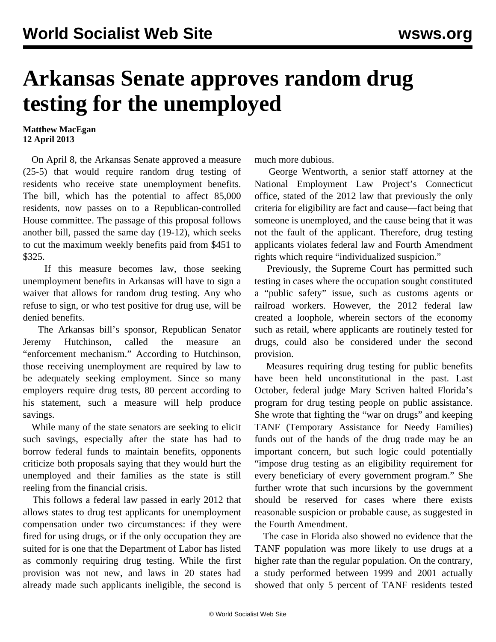## **Arkansas Senate approves random drug testing for the unemployed**

## **Matthew MacEgan 12 April 2013**

 On April 8, the Arkansas Senate approved a measure (25-5) that would require random drug testing of residents who receive state unemployment benefits. The bill, which has the potential to affect 85,000 residents, now passes on to a Republican-controlled House committee. The passage of this proposal follows another bill, passed the same day (19-12), which seeks to cut the maximum weekly benefits paid from \$451 to \$325.

 If this measure becomes law, those seeking unemployment benefits in Arkansas will have to sign a waiver that allows for random drug testing. Any who refuse to sign, or who test positive for drug use, will be denied benefits.

 The Arkansas bill's sponsor, Republican Senator Jeremy Hutchinson, called the measure an "enforcement mechanism." According to Hutchinson, those receiving unemployment are required by law to be adequately seeking employment. Since so many employers require drug tests, 80 percent according to his statement, such a measure will help produce savings.

 While many of the state senators are seeking to elicit such savings, especially after the state has had to borrow federal funds to maintain benefits, opponents criticize both proposals saying that they would hurt the unemployed and their families as the state is still reeling from the financial crisis.

 This follows a federal law passed in early 2012 that allows states to drug test applicants for unemployment compensation under two circumstances: if they were fired for using drugs, or if the only occupation they are suited for is one that the Department of Labor has listed as commonly requiring drug testing. While the first provision was not new, and laws in 20 states had already made such applicants ineligible, the second is

much more dubious.

 George Wentworth, a senior staff attorney at the National Employment Law Project's Connecticut office, stated of the 2012 law that previously the only criteria for eligibility are fact and cause—fact being that someone is unemployed, and the cause being that it was not the fault of the applicant. Therefore, drug testing applicants violates federal law and Fourth Amendment rights which require "individualized suspicion."

 Previously, the Supreme Court has permitted such testing in cases where the occupation sought constituted a "public safety" issue, such as customs agents or railroad workers. However, the 2012 federal law created a loophole, wherein sectors of the economy such as retail, where applicants are routinely tested for drugs, could also be considered under the second provision.

 Measures requiring drug testing for public benefits have been held unconstitutional in the past. Last October, federal judge Mary Scriven halted Florida's program for drug testing people on public assistance. She wrote that fighting the "war on drugs" and keeping TANF (Temporary Assistance for Needy Families) funds out of the hands of the drug trade may be an important concern, but such logic could potentially "impose drug testing as an eligibility requirement for every beneficiary of every government program." She further wrote that such incursions by the government should be reserved for cases where there exists reasonable suspicion or probable cause, as suggested in the Fourth Amendment.

 The case in Florida also showed no evidence that the TANF population was more likely to use drugs at a higher rate than the regular population. On the contrary, a study performed between 1999 and 2001 actually showed that only 5 percent of TANF residents tested